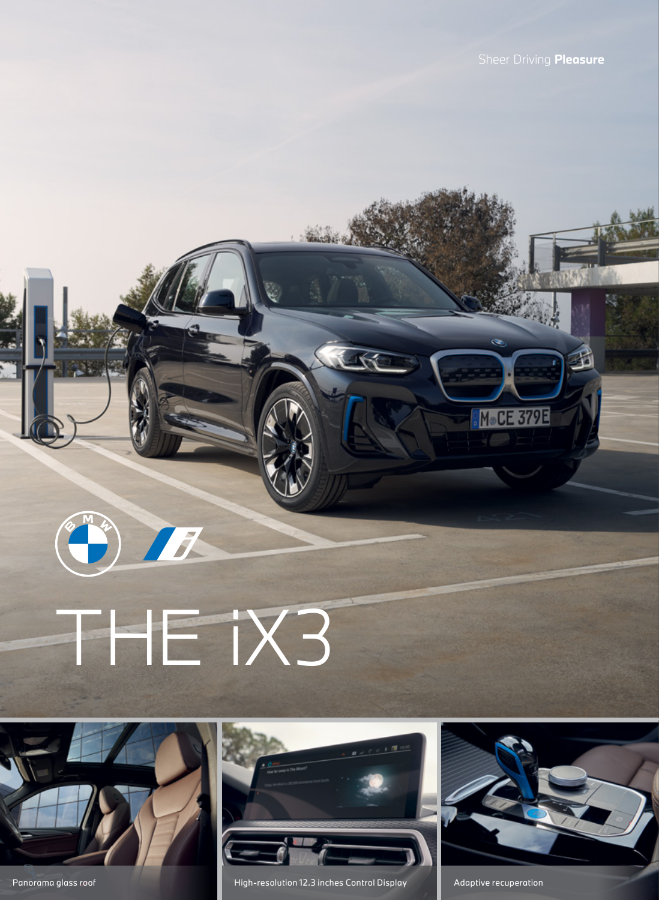M®CE 379E





 $\begin{pmatrix} 0 & h \\ h & h \end{pmatrix}$ 



Panorama glass roof **High-resolution 12.3 inches Control Display** Adaptive recuperation